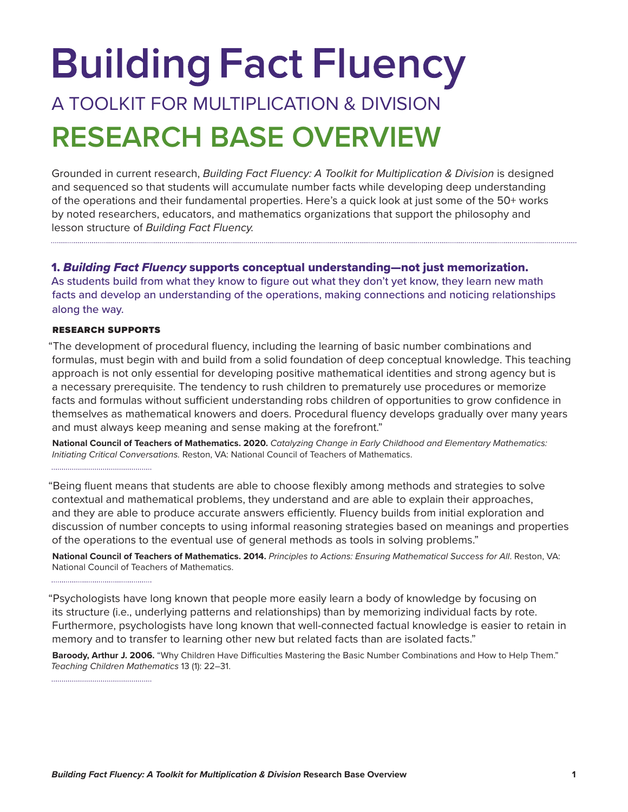# **Building Fact Fluency** A TOOLKIT FOR MULTIPLICATION & DIVISION **RESEARCH BASE OVERVIEW**

Grounded in current research, *Building Fact Fluency: A Toolkit for Multiplication & Division* is designed and sequenced so that students will accumulate number facts while developing deep understanding of the operations and their fundamental properties. Here's a quick look at just some of the 50+ works by noted researchers, educators, and mathematics organizations that support the philosophy and lesson structure of *Building Fact Fluency.* 

### 1. *Building Fact Fluency* supports conceptual understanding—not just memorization.

As students build from what they know to figure out what they don't yet know, they learn new math facts and develop an understanding of the operations, making connections and noticing relationships along the way.

#### RESEARCH SUPPORTS

"The development of procedural fluency, including the learning of basic number combinations and formulas, must begin with and build from a solid foundation of deep conceptual knowledge. This teaching approach is not only essential for developing positive mathematical identities and strong agency but is a necessary prerequisite. The tendency to rush children to prematurely use procedures or memorize facts and formulas without sufficient understanding robs children of opportunities to grow confidence in themselves as mathematical knowers and doers. Procedural fluency develops gradually over many years and must always keep meaning and sense making at the forefront."

**National Council of Teachers of Mathematics. 2020.** *Catalyzing Change in Early Childhood and Elementary Mathematics: Initiating Critical Conversations.* Reston, VA: National Council of Teachers of Mathematics.

"Being fluent means that students are able to choose flexibly among methods and strategies to solve contextual and mathematical problems, they understand and are able to explain their approaches, and they are able to produce accurate answers efficiently. Fluency builds from initial exploration and discussion of number concepts to using informal reasoning strategies based on meanings and properties of the operations to the eventual use of general methods as tools in solving problems."

**National Council of Teachers of Mathematics. 2014.** *Principles to Actions: Ensuring Mathematical Success for All*. Reston, VA: National Council of Teachers of Mathematics.

"Psychologists have long known that people more easily learn a body of knowledge by focusing on its structure (i.e., underlying patterns and relationships) than by memorizing individual facts by rote. Furthermore, psychologists have long known that well-connected factual knowledge is easier to retain in memory and to transfer to learning other new but related facts than are isolated facts."

**Baroody, Arthur J. 2006.** "Why Children Have Difficulties Mastering the Basic Number Combinations and How to Help Them." *Teaching Children Mathematics* 13 (1): 22–31.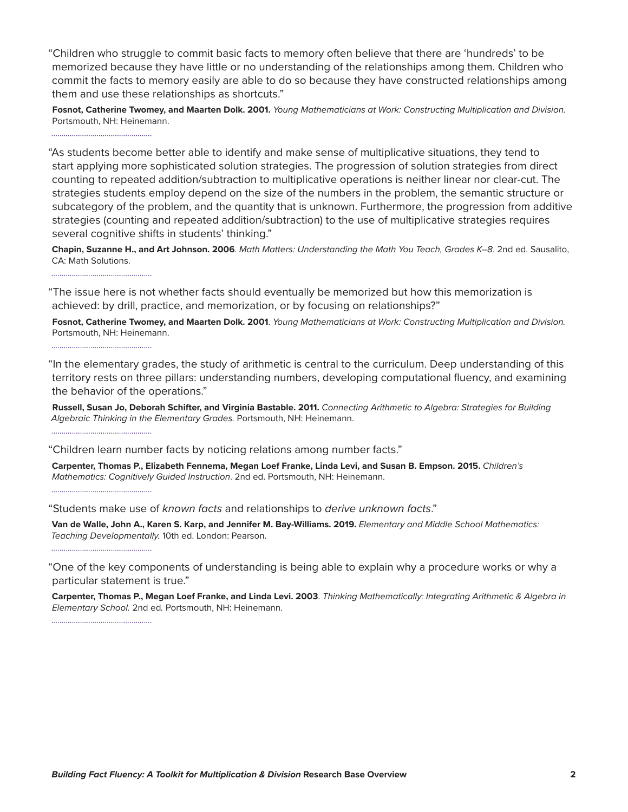"Children who struggle to commit basic facts to memory often believe that there are 'hundreds' to be memorized because they have little or no understanding of the relationships among them. Children who commit the facts to memory easily are able to do so because they have constructed relationships among them and use these relationships as shortcuts."

**Fosnot, Catherine Twomey, and Maarten Dolk. 2001.** *Young Mathematicians at Work: Constructing Multiplication and Division.*  Portsmouth, NH: Heinemann.

"As students become better able to identify and make sense of multiplicative situations, they tend to start applying more sophisticated solution strategies. The progression of solution strategies from direct counting to repeated addition/subtraction to multiplicative operations is neither linear nor clear-cut. The strategies students employ depend on the size of the numbers in the problem, the semantic structure or subcategory of the problem, and the quantity that is unknown. Furthermore, the progression from additive strategies (counting and repeated addition/subtraction) to the use of multiplicative strategies requires several cognitive shifts in students' thinking."

**Chapin, Suzanne H., and Art Johnson. 2006**. *Math Matters: Understanding the Math You Teach, Grades K–8*. 2nd ed. Sausalito, CA: Math Solutions.

"The issue here is not whether facts should eventually be memorized but how this memorization is achieved: by drill, practice, and memorization, or by focusing on relationships?"

**Fosnot, Catherine Twomey, and Maarten Dolk. 2001**. *Young Mathematicians at Work: Constructing Multiplication and Division.*  Portsmouth, NH: Heinemann.

"In the elementary grades, the study of arithmetic is central to the curriculum. Deep understanding of this territory rests on three pillars: understanding numbers, developing computational fluency, and examining the behavior of the operations."

**Russell, Susan Jo, Deborah Schifter, and Virginia Bastable. 2011.** *Connecting Arithmetic to Algebra: Strategies for Building Algebraic Thinking in the Elementary Grades.* Portsmouth, NH: Heinemann.

"Children learn number facts by noticing relations among number facts."

**Carpenter, Thomas P., Elizabeth Fennema, Megan Loef Franke, Linda Levi, and Susan B. Empson. 2015.** *Children's Mathematics: Cognitively Guided Instruction*. 2nd ed. Portsmouth, NH: Heinemann.

"Students make use of *known facts* and relationships to *derive unknown facts*."

**Van de Walle, John A., Karen S. Karp, and Jennifer M. Bay-Williams. 2019.** *Elementary and Middle School Mathematics: Teaching Developmentally.* 10th ed. London: Pearson.

"One of the key components of understanding is being able to explain why a procedure works or why a particular statement is true."

**Carpenter, Thomas P., Megan Loef Franke, and Linda Levi. 2003**. *Thinking Mathematically: Integrating Arithmetic & Algebra in Elementary School.* 2nd ed*.* Portsmouth, NH: Heinemann.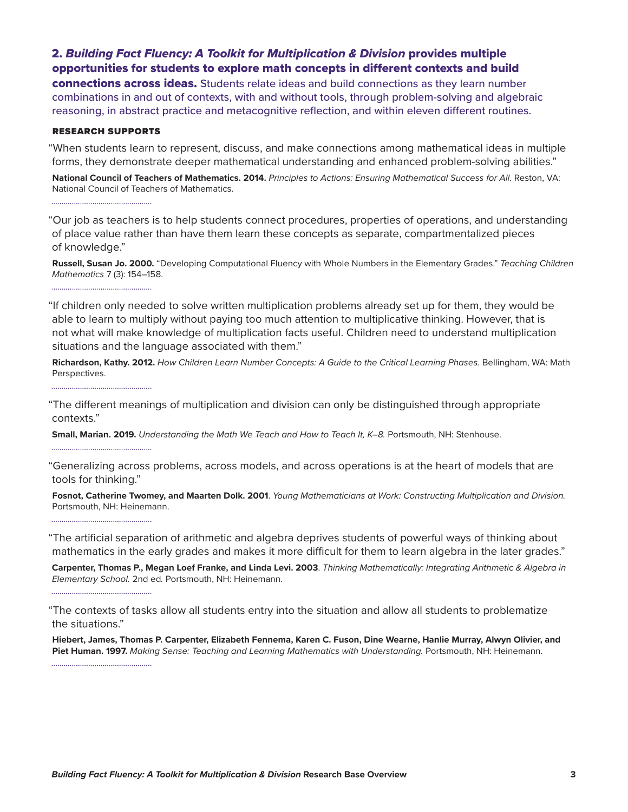# 2. *Building Fact Fluency: A Toolkit for Multiplication & Division* provides multiple opportunities for students to explore math concepts in different contexts and build

connections across ideas. Students relate ideas and build connections as they learn number combinations in and out of contexts, with and without tools, through problem-solving and algebraic reasoning, in abstract practice and metacognitive reflection, and within eleven different routines.

#### RESEARCH SUPPORTS

"When students learn to represent, discuss, and make connections among mathematical ideas in multiple forms, they demonstrate deeper mathematical understanding and enhanced problem-solving abilities."

National Council of Teachers of Mathematics. 2014. *Principles to Actions: Ensuring Mathematical Success for All. Reston, VA*: National Council of Teachers of Mathematics.

"Our job as teachers is to help students connect procedures, properties of operations, and understanding of place value rather than have them learn these concepts as separate, compartmentalized pieces of knowledge."

**Russell, Susan Jo. 2000.** "Developing Computational Fluency with Whole Numbers in the Elementary Grades." *Teaching Children Mathematics* 7 (3): 154–158.

"If children only needed to solve written multiplication problems already set up for them, they would be able to learn to multiply without paying too much attention to multiplicative thinking. However, that is not what will make knowledge of multiplication facts useful. Children need to understand multiplication situations and the language associated with them."

**Richardson, Kathy. 2012.** *How Children Learn Number Concepts: A Guide to the Critical Learning Phases.* Bellingham, WA: Math Perspectives.

"The different meanings of multiplication and division can only be distinguished through appropriate contexts."

**Small, Marian. 2019.** *Understanding the Math We Teach and How to Teach It, K–8.* Portsmouth, NH: Stenhouse.

"Generalizing across problems, across models, and across operations is at the heart of models that are tools for thinking."

**Fosnot, Catherine Twomey, and Maarten Dolk. 2001**. *Young Mathematicians at Work: Constructing Multiplication and Division.*  Portsmouth, NH: Heinemann.

"The artificial separation of arithmetic and algebra deprives students of powerful ways of thinking about mathematics in the early grades and makes it more difficult for them to learn algebra in the later grades."

**Carpenter, Thomas P., Megan Loef Franke, and Linda Levi. 2003**. *Thinking Mathematically: Integrating Arithmetic & Algebra in Elementary School.* 2nd ed*.* Portsmouth, NH: Heinemann.

"The contexts of tasks allow all students entry into the situation and allow all students to problematize the situations."

**Hiebert, James, Thomas P. Carpenter, Elizabeth Fennema, Karen C. Fuson, Dine Wearne, Hanlie Murray, Alwyn Olivier, and Piet Human. 1997.** *Making Sense: Teaching and Learning Mathematics with Understanding.* Portsmouth, NH: Heinemann.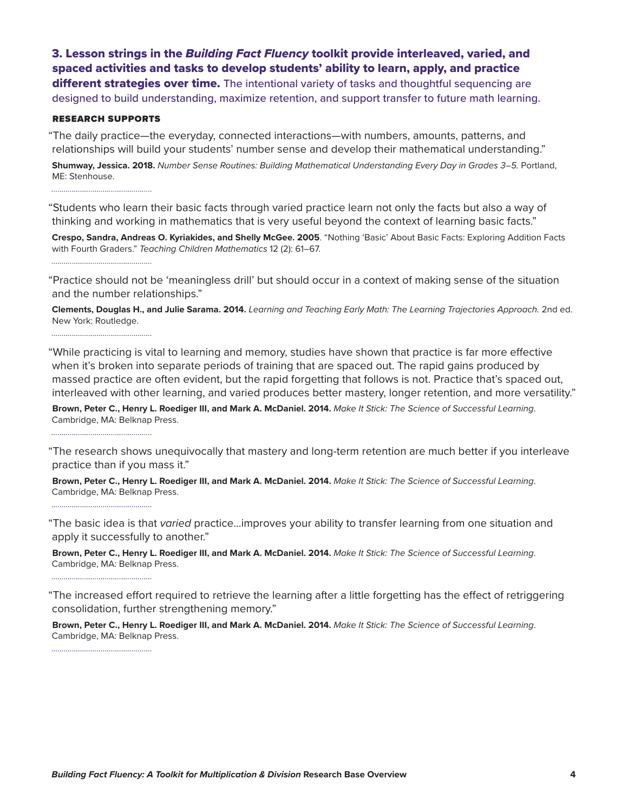3. Lesson strings in the *Building Fact Fluency* toolkit provide interleaved, varied, and spaced activities and tasks to develop students' ability to learn, apply, and practice **different strategies over time.** The intentional variety of tasks and thoughtful sequencing are designed to build understanding, maximize retention, and support transfer to future math learning.

#### RESEARCH SUPPORTS

"The daily practice—the everyday, connected interactions—with numbers, amounts, patterns, and relationships will build your students' number sense and develop their mathematical understanding."

**Shumway, Jessica. 2018.** *Number Sense Routines: Building Mathematical Understanding Every Day in Grades 3–5.* Portland, ME: Stenhouse.

"Students who learn their basic facts through varied practice learn not only the facts but also a way of thinking and working in mathematics that is very useful beyond the context of learning basic facts."

**Crespo, Sandra, Andreas O. Kyriakides, and Shelly McGee. 2005**. "Nothing 'Basic' About Basic Facts: Exploring Addition Facts with Fourth Graders." *Teaching Children Mathematics* 12 (2): 61–67.

"Practice should not be 'meaningless drill' but should occur in a context of making sense of the situation and the number relationships."

**Clements, Douglas H., and Julie Sarama. 2014.** *Learning and Teaching Early Math: The Learning Trajectories Approach.* 2nd ed. New York: Routledge.

"While practicing is vital to learning and memory, studies have shown that practice is far more effective when it's broken into separate periods of training that are spaced out. The rapid gains produced by massed practice are often evident, but the rapid forgetting that follows is not. Practice that's spaced out, interleaved with other learning, and varied produces better mastery, longer retention, and more versatility."

**Brown, Peter C., Henry L. Roediger III, and Mark A. McDaniel. 2014.** *Make It Stick: The Science of Successful Learning*. Cambridge, MA: Belknap Press. 

"The research shows unequivocally that mastery and long-term retention are much better if you interleave practice than if you mass it."

**Brown, Peter C., Henry L. Roediger III, and Mark A. McDaniel. 2014.** *Make It Stick: The Science of Successful Learning*. Cambridge, MA: Belknap Press.

"The basic idea is that *varied* practice...improves your ability to transfer learning from one situation and apply it successfully to another."

**Brown, Peter C., Henry L. Roediger III, and Mark A. McDaniel. 2014.** *Make It Stick: The Science of Successful Learning*. Cambridge, MA: Belknap Press.

"The increased effort required to retrieve the learning after a little forgetting has the effect of retriggering consolidation, further strengthening memory."

**Brown, Peter C., Henry L. Roediger III, and Mark A. McDaniel. 2014.** *Make It Stick: The Science of Successful Learning*. Cambridge, MA: Belknap Press.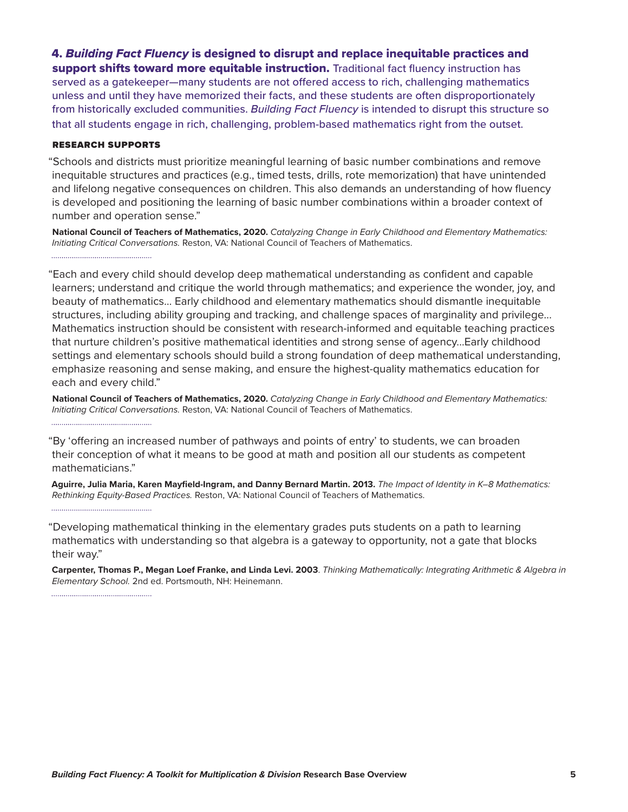4. *Building Fact Fluency* is designed to disrupt and replace inequitable practices and support shifts toward more equitable instruction. Traditional fact fluency instruction has served as a gatekeeper—many students are not offered access to rich, challenging mathematics unless and until they have memorized their facts, and these students are often disproportionately from historically excluded communities. *Building Fact Fluency* is intended to disrupt this structure so that all students engage in rich, challenging, problem-based mathematics right from the outset.

#### RESEARCH SUPPORTS

"Schools and districts must prioritize meaningful learning of basic number combinations and remove inequitable structures and practices (e.g., timed tests, drills, rote memorization) that have unintended and lifelong negative consequences on children. This also demands an understanding of how fluency is developed and positioning the learning of basic number combinations within a broader context of number and operation sense."

**National Council of Teachers of Mathematics, 2020.** *Catalyzing Change in Early Childhood and Elementary Mathematics: Initiating Critical Conversations.* Reston, VA: National Council of Teachers of Mathematics.

"Each and every child should develop deep mathematical understanding as confident and capable learners; understand and critique the world through mathematics; and experience the wonder, joy, and beauty of mathematics... Early childhood and elementary mathematics should dismantle inequitable structures, including ability grouping and tracking, and challenge spaces of marginality and privilege... Mathematics instruction should be consistent with research-informed and equitable teaching practices that nurture children's positive mathematical identities and strong sense of agency...Early childhood settings and elementary schools should build a strong foundation of deep mathematical understanding, emphasize reasoning and sense making, and ensure the highest-quality mathematics education for each and every child."

**National Council of Teachers of Mathematics, 2020.** *Catalyzing Change in Early Childhood and Elementary Mathematics: Initiating Critical Conversations.* Reston, VA: National Council of Teachers of Mathematics.

"By 'offering an increased number of pathways and points of entry' to students, we can broaden their conception of what it means to be good at math and position all our students as competent mathematicians."

**Aguirre, Julia Maria, Karen Mayfield-Ingram, and Danny Bernard Martin. 2013.** *The Impact of Identity in K–8 Mathematics: Rethinking Equity-Based Practices.* Reston, VA: National Council of Teachers of Mathematics.

"Developing mathematical thinking in the elementary grades puts students on a path to learning mathematics with understanding so that algebra is a gateway to opportunity, not a gate that blocks their way."

**Carpenter, Thomas P., Megan Loef Franke, and Linda Levi. 2003**. *Thinking Mathematically: Integrating Arithmetic & Algebra in Elementary School.* 2nd ed. Portsmouth, NH: Heinemann.